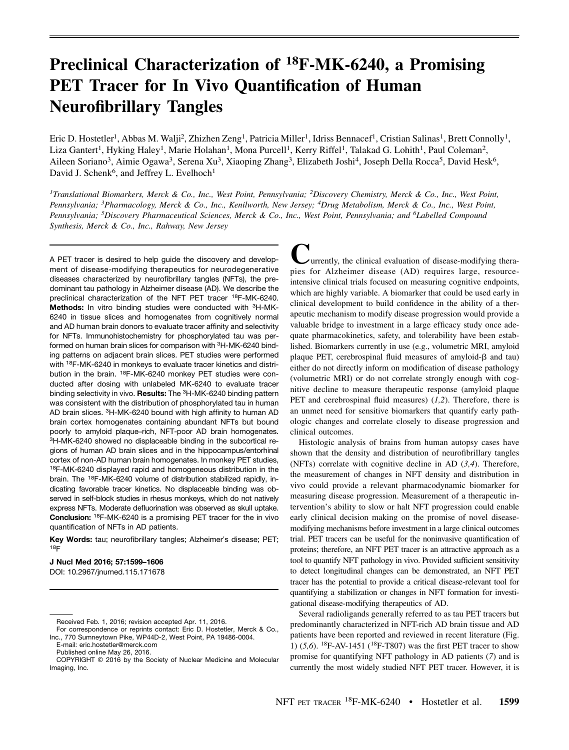# Preclinical Characterization of <sup>18</sup>F-MK-6240, a Promising<br>PET Tracer for In Vivo Quantification of Human **Neurofibrillary Tangles**  $\frac{1}{2}$   $\frac{1}{2}$   $\frac{1}{2}$   $\frac{1}{2}$   $\frac{1}{2}$   $\frac{1}{2}$   $\frac{1}{2}$   $\frac{1}{2}$   $\frac{1}{2}$   $\frac{1}{2}$   $\frac{1}{2}$   $\frac{1}{2}$   $\frac{1}{2}$   $\frac{1}{2}$   $\frac{1}{2}$   $\frac{1}{2}$   $\frac{1}{2}$   $\frac{1}{2}$   $\frac{1}{2}$   $\frac{1}{2}$   $\frac{1}{2}$   $\frac{1}{2}$

Eric D. Hostetler<sup>1</sup>, Abbas M. Walji<sup>2</sup>, Zhizhen Zeng<sup>1</sup>, Patricia Miller<sup>1</sup>, Idriss Bennacef<sup>1</sup>, Cristian Salinas<sup>1</sup>, Brett Connolly<sup>1</sup>, Liza Gantert<sup>1</sup>, Hyking Haley<sup>1</sup>, Marie Holahan<sup>1</sup>, Mona Purcell<sup>1</sup>, Kerry Riffel<sup>1</sup>, Talakad G. Lohith<sup>1</sup>, Paul Coleman<sup>2</sup>, Aileen Soriano<sup>3</sup>, Aimie Ogawa<sup>3</sup>, Serena Xu<sup>3</sup>, Xiaoping Zhang<sup>3</sup>, Elizabeth Joshi<sup>4</sup>, Joseph Della Rocca<sup>5</sup>, David Hesk<sup>6</sup>, David J. Schenk<sup>6</sup>, and Jeffrey L. Evelhoch<sup>1</sup>

<sup>1</sup>Translational Biomarkers, Merck & Co., Inc., West Point, Pennsylvania; <sup>2</sup>Discovery Chemistry, Merck & Co., Inc., West Point, Pennsylvania; <sup>3</sup>Pharmacology, Merck & Co., Inc., Kenilworth, New Jersey; <sup>4</sup>Drug Metabolism, Merck & Co., Inc., West Point, Pennsylvania; <sup>5</sup>Discovery Pharmaceutical Sciences, Merck & Co., Inc., West Point, Pennsylvania; and <sup>6</sup>Labelled Compound Synthesis, Merck & Co., Inc., Rahway, New Jersey

A PET tracer is desired to help guide the discovery and development of disease-modifying therapeutics for neurodegenerative diseases characterized by neurofibrillary tangles (NFTs), the predominant tau pathology in Alzheimer disease (AD). We describe the preclinical characterization of the NFT PET tracer 18F-MK-6240. Methods: In vitro binding studies were conducted with <sup>3</sup>H-MK-6240 in tissue slices and homogenates from cognitively normal and AD human brain donors to evaluate tracer affinity and selectivity for NFTs. Immunohistochemistry for phosphorylated tau was performed on human brain slices for comparison with 3H-MK-6240 binding patterns on adjacent brain slices. PET studies were performed with <sup>18</sup>F-MK-6240 in monkeys to evaluate tracer kinetics and distribution in the brain. 18F-MK-6240 monkey PET studies were conducted after dosing with unlabeled MK-6240 to evaluate tracer binding selectivity in vivo. Results: The <sup>3</sup>H-MK-6240 binding pattern was consistent with the distribution of phosphorylated tau in human AD brain slices. 3H-MK-6240 bound with high affinity to human AD brain cortex homogenates containing abundant NFTs but bound poorly to amyloid plaque–rich, NFT-poor AD brain homogenates. 3H-MK-6240 showed no displaceable binding in the subcortical regions of human AD brain slices and in the hippocampus/entorhinal cortex of non-AD human brain homogenates. In monkey PET studies, 18F-MK-6240 displayed rapid and homogeneous distribution in the brain. The 18F-MK-6240 volume of distribution stabilized rapidly, indicating favorable tracer kinetics. No displaceable binding was observed in self-block studies in rhesus monkeys, which do not natively express NFTs. Moderate defluorination was observed as skull uptake. Conclusion: 18F-MK-6240 is a promising PET tracer for the in vivo quantification of NFTs in AD patients.

Key Words: tau; neurofibrillary tangles; Alzheimer's disease; PET; 18F

# J Nucl Med 2016; 57:1599–1606

DOI: 10.2967/jnumed.115.171678

E-mail: [eric.hostetler@merck.com](mailto:eric.hostetler@merck.com) Published online May 26, 2016.

**Currently, the clinical evaluation of disease-modifying thera-**<br>pies for Alzheimer disease (AD) requires large, resource-<br>intensive clinical trials focused on measuring cognitive endpoints,<br>which are highly unitely A high pies for Alzheimer disease (AD) requires large, resourceintensive clinical trials focused on measuring cognitive endpoints, which are highly variable. A biomarker that could be used early in clinical development to build confidence in the ability of a therapeutic mechanism to modify disease progression would provide a valuable bridge to investment in a large efficacy study once adequate pharmacokinetics, safety, and tolerability have been established. Biomarkers currently in use (e.g., volumetric MRI, amyloid plaque PET, cerebrospinal fluid measures of amyloid- $\beta$  and tau) either do not directly inform on modification of disease pathology (volumetric MRI) or do not correlate strongly enough with cognitive decline to measure therapeutic response (amyloid plaque PET and cerebrospinal fluid measures)  $(1,2)$ . Therefore, there is an unmet need for sensitive biomarkers that quantify early pathologic changes and correlate closely to disease progression and clinical outcomes.

Histologic analysis of brains from human autopsy cases have shown that the density and distribution of neurofibrillary tangles (NFTs) correlate with cognitive decline in AD  $(3,4)$ . Therefore, the measurement of changes in NFT density and distribution in vivo could provide a relevant pharmacodynamic biomarker for measuring disease progression. Measurement of a therapeutic intervention's ability to slow or halt NFT progression could enable early clinical decision making on the promise of novel diseasemodifying mechanisms before investment in a large clinical outcomes trial. PET tracers can be useful for the noninvasive quantification of proteins; therefore, an NFT PET tracer is an attractive approach as a tool to quantify NFT pathology in vivo. Provided sufficient sensitivity to detect longitudinal changes can be demonstrated, an NFT PET tracer has the potential to provide a critical disease-relevant tool for quantifying a stabilization or changes in NFT formation for investigational disease-modifying therapeutics of AD.

Several radioligands generally referred to as tau PET tracers but predominantly characterized in NFT-rich AD brain tissue and AD patients have been reported and reviewed in recent literature (Fig. 1) (5,6). <sup>18</sup>F-AV-1451 (<sup>18</sup>F-T807) was the first PET tracer to show promise for quantifying NFT pathology in AD patients (7) and is currently the most widely studied NFT PET tracer. However, it is

Received Feb. 1, 2016; revision accepted Apr. 11, 2016.

For correspondence or reprints contact: Eric D. Hostetler, Merck & Co., Inc., 770 Sumneytown Pike, WP44D-2, West Point, PA 19486-0004.

COPYRIGHT © 2016 by the Society of Nuclear Medicine and Molecular Imaging, Inc.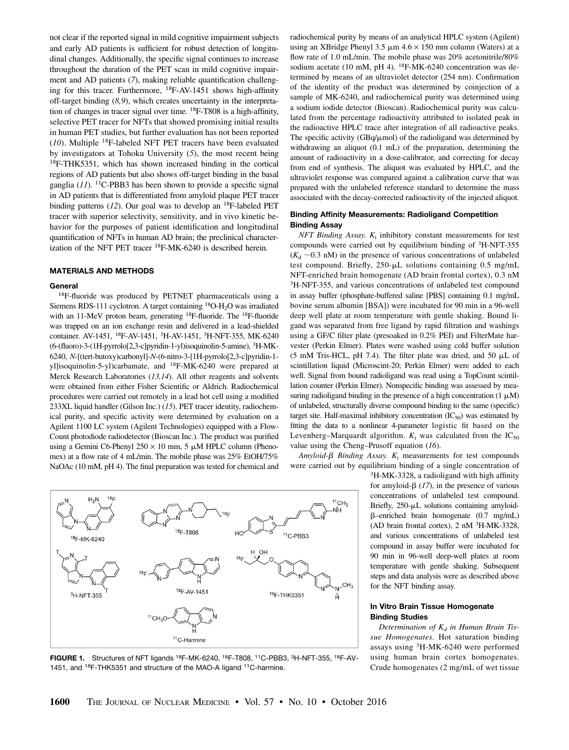not clear if the reported signal in mild cognitive impairment subjects and early AD patients is sufficient for robust detection of longitudinal changes. Additionally, the specific signal continues to increase throughout the duration of the PET scan in mild cognitive impairment and AD patients (7), making reliable quantification challenging for this tracer. Furthermore, 18F-AV-1451 shows high-affinity off-target binding  $(8,9)$ , which creates uncertainty in the interpretation of changes in tracer signal over time. 18F-T808 is a high-affinity, selective PET tracer for NFTs that showed promising initial results in human PET studies, but further evaluation has not been reported  $(10)$ . Multiple <sup>18</sup>F-labeled NFT PET tracers have been evaluated by investigators at Tohoku University (5), the most recent being 18F-THK5351, which has shown increased binding in the cortical regions of AD patients but also shows off-target binding in the basal ganglia  $(1)$ . <sup>11</sup>C-PBB3 has been shown to provide a specific signal in AD patients that is differentiated from amyloid plaque PET tracer binding patterns  $(12)$ . Our goal was to develop an <sup>18</sup>F-labeled PET tracer with superior selectivity, sensitivity, and in vivo kinetic behavior for the purposes of patient identification and longitudinal quantification of NFTs in human AD brain; the preclinical characterization of the NFT PET tracer 18F-MK-6240 is described herein.

## MATERIALS AND METHODS

#### General

<sup>18</sup>F-fluoride was produced by PETNET pharmaceuticals using a Siemens RDS-111 cyclotron. A target containing <sup>18</sup>O-H<sub>2</sub>O was irradiated with an 11-MeV proton beam, generating <sup>18</sup>F-fluoride. The <sup>18</sup>F-fluoride was trapped on an ion exchange resin and delivered in a lead-shielded container. AV-1451, <sup>18</sup>F-AV-1451, <sup>3</sup>H-AV-1451, <sup>3</sup>H-NFT-355, MK-6240 (6-(fluoro)-3-(1H-pyrrolo[2,3-c]pyridin-1-yl)isoquinolin-5-amine), <sup>3</sup> H-MK-6240, N-[(tert-butoxy)carbonyl]-N-(6-nitro-3-[1H-pyrrolo[2,3-c]pyridin-1 yl]isoquinolin-5-yl)carbamate, and 18F-MK-6240 were prepared at Merck Research Laboratories (13,14). All other reagents and solvents were obtained from either Fisher Scientific or Aldrich. Radiochemical procedures were carried out remotely in a lead hot cell using a modified 233XL liquid handler (Gilson Inc.) (15). PET tracer identity, radiochemical purity, and specific activity were determined by evaluation on a Agilent 1100 LC system (Agilent Technologies) equipped with a Flow-Count photodiode radiodetector (Bioscan Inc.). The product was purified using a Gemini C6-Phenyl  $250 \times 10$  mm, 5  $\mu$ M HPLC column (Phenomex) at a flow rate of 4 mL/min. The mobile phase was 25% EtOH/75% NaOAc (10 mM, pH 4). The final preparation was tested for chemical and radiochemical purity by means of an analytical HPLC system (Agilent) using an XBridge Phenyl 3.5  $\mu$ m 4.6  $\times$  150 mm column (Waters) at a flow rate of 1.0 mL/min. The mobile phase was 20% acetonitrile/80% sodium acetate (10 mM, pH 4).  $^{18}$ F-MK-6240 concentration was determined by means of an ultraviolet detector (254 nm). Confirmation of the identity of the product was determined by coinjection of a sample of MK-6240, and radiochemical purity was determined using a sodium iodide detector (Bioscan). Radiochemical purity was calculated from the percentage radioactivity attributed to isolated peak in the radioactive HPLC trace after integration of all radioactive peaks. The specific activity (GBq/ $\mu$ mol) of the radioligand was determined by withdrawing an aliquot (0.1 mL) of the preparation, determining the amount of radioactivity in a dose-calibrator, and correcting for decay from end of synthesis. The aliquot was evaluated by HPLC, and the ultraviolet response was compared against a calibration curve that was prepared with the unlabeled reference standard to determine the mass associated with the decay-corrected radioactivity of the injected aliquot.

## Binding Affinity Measurements: Radioligand Competition Binding Assay

 $NFT$  Binding Assay.  $K_i$  inhibitory constant measurements for test compounds were carried out by equilibrium binding of 3H-NFT-355  $(K_d \sim 0.3 \text{ nM})$  in the presence of various concentrations of unlabeled test compound. Briefly,  $250-\mu L$  solutions containing 0.5 mg/mL NFT-enriched brain homogenate (AD brain frontal cortex), 0.3 nM <sup>3</sup>H-NFT-355, and various concentrations of unlabeled test compound in assay buffer (phosphate-buffered saline [PBS] containing 0.1 mg/mL bovine serum albumin [BSA]) were incubated for 90 min in a 96-well deep well plate at room temperature with gentle shaking. Bound ligand was separated from free ligand by rapid filtration and washings using a GF/C filter plate (presoaked in 0.2% PEI) and FilterMate harvester (Perkin Elmer). Plates were washed using cold buffer solution (5 mM Tris-HCL, pH 7.4). The filter plate was dried, and 50  $\mu$ L of scintillation liquid (Microscint-20; Perkin Elmer) were added to each well. Signal from bound radioligand was read using a TopCount scintillation counter (Perkin Elmer). Nonspecific binding was assessed by measuring radioligand binding in the presence of a high concentration  $(1 \mu M)$ of unlabeled, structurally diverse compound binding to the same (specific) target site. Half-maximal inhibitory concentration  $(IC_{50})$  was estimated by fitting the data to a nonlinear 4-parameter logistic fit based on the Levenberg–Marquardt algorithm.  $K_i$  was calculated from the  $IC_{50}$ value using the Cheng–Prusoff equation (16).

Amyloid- $\beta$  Binding Assay.  $K_i$  measurements for test compounds were carried out by equilibrium binding of a single concentration of

3H-MK-3328, a radioligand with high affinity for amyloid- $\beta$  (17), in the presence of various concentrations of unlabeled test compound. Briefly,  $250-\mu L$  solutions containing amyloidb–enriched brain homogenate (0.7 mg/mL) (AD brain frontal cortex), 2 nM <sup>3</sup> H-MK-3328, and various concentrations of unlabeled test compound in assay buffer were incubated for 90 min in 96-well deep-well plates at room temperature with gentle shaking. Subsequent steps and data analysis were as described above for the NFT binding assay.

# In Vitro Brain Tissue Homogenate Binding Studies

Determination of  $K_d$  in Human Brain Tissue Homogenates. Hot saturation binding assays using 3H-MK-6240 were performed using human brain cortex homogenates. Crude homogenates (2 mg/mL of wet tissue



1451, and 18F-THK5351 and structure of the MAO-A ligand 11C-harmine.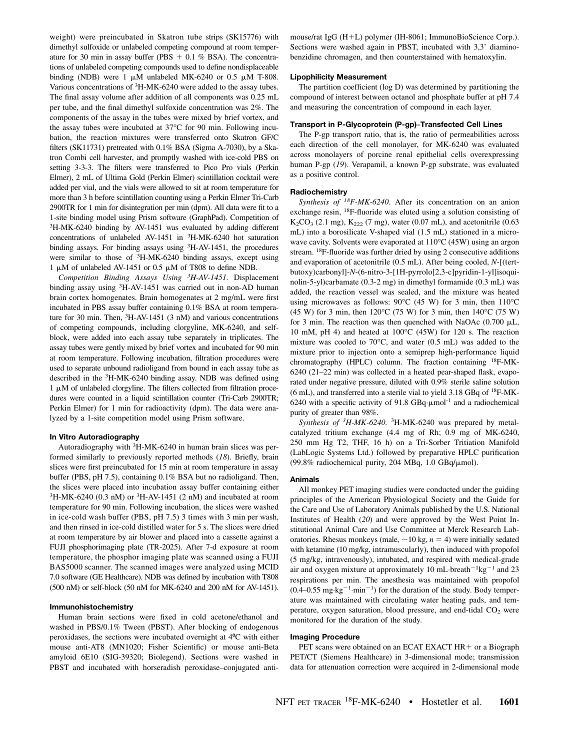weight) were preincubated in Skatron tube strips (SK15776) with dimethyl sulfoxide or unlabeled competing compound at room temperature for 30 min in assay buffer (PBS  $+$  0.1 % BSA). The concentrations of unlabeled competing compounds used to define nondisplaceable binding (NDB) were 1  $\mu$ M unlabeled MK-6240 or 0.5  $\mu$ M T-808. Various concentrations of 3H-MK-6240 were added to the assay tubes. The final assay volume after addition of all components was 0.25 mL per tube, and the final dimethyl sulfoxide concentration was 2%. The components of the assay in the tubes were mixed by brief vortex, and the assay tubes were incubated at 37°C for 90 min. Following incubation, the reaction mixtures were transferred onto Skatron GF/C filters (SK11731) pretreated with 0.1% BSA (Sigma A-7030), by a Skatron Combi cell harvester, and promptly washed with ice-cold PBS on setting 3-3-3. The filters were transferred to Pico Pro vials (Perkin Elmer), 2 mL of Ultima Gold (Perkin Elmer) scintillation cocktail were added per vial, and the vials were allowed to sit at room temperature for more than 3 h before scintillation counting using a Perkin Elmer Tri-Carb 2900TR for 1 min for disintegration per min (dpm). All data were fit to a 1-site binding model using Prism software (GraphPad). Competition of <sup>3</sup>H-MK-6240 binding by AV-1451 was evaluated by adding different concentrations of unlabeled AV-1451 in <sup>3</sup>H-MK-6240 hot saturation binding assays. For binding assays using <sup>3</sup> H-AV-1451, the procedures were similar to those of <sup>3</sup>H-MK-6240 binding assays, except using 1  $\mu$ M of unlabeled AV-1451 or 0.5  $\mu$ M of T808 to define NDB.

Competition Binding Assays Using  ${}^{3}H$ -AV-1451. Displacement binding assay using 3H-AV-1451 was carried out in non-AD human brain cortex homogenates. Brain homogenates at 2 mg/mL were first incubated in PBS assay buffer containing 0.1% BSA at room temperature for 30 min. Then, <sup>3</sup> H-AV-1451 (3 nM) and various concentrations of competing compounds, including clorgyline, MK-6240, and selfblock, were added into each assay tube separately in triplicates. The assay tubes were gently mixed by brief vortex and incubated for 90 min at room temperature. Following incubation, filtration procedures were used to separate unbound radioligand from bound in each assay tube as described in the <sup>3</sup> H-MK-6240 binding assay. NDB was defined using  $1 \mu$ M of unlabeled clorgyline. The filters collected from filtration procedures were counted in a liquid scintillation counter (Tri-Carb 2900TR; Perkin Elmer) for 1 min for radioactivity (dpm). The data were analyzed by a 1-site competition model using Prism software.

#### In Vitro Autoradiography

Autoradiography with 3H-MK-6240 in human brain slices was performed similarly to previously reported methods (18). Briefly, brain slices were first preincubated for 15 min at room temperature in assay buffer (PBS, pH 7.5), containing 0.1% BSA but no radioligand. Then, the slices were placed into incubation assay buffer containing either  $3H-MK-6240$  (0.3 nM) or  $3H-AV-1451$  (2 nM) and incubated at room temperature for 90 min. Following incubation, the slices were washed in ice-cold wash buffer (PBS, pH 7.5) 3 times with 3 min per wash, and then rinsed in ice-cold distilled water for 5 s. The slices were dried at room temperature by air blower and placed into a cassette against a FUJI phosphorimaging plate (TR-2025). After 7-d exposure at room temperature, the phosphor imaging plate was scanned using a FUJI BAS5000 scanner. The scanned images were analyzed using MCID 7.0 software (GE Healthcare). NDB was defined by incubation with T808 (500 nM) or self-block (50 nM for MK-6240 and 200 nM for AV-1451).

#### Immunohistochemistry

Human brain sections were fixed in cold acetone/ethanol and washed in PBS/0.1% Tween (PBST). After blocking of endogenous peroxidases, the sections were incubated overnight at 4⁰C with either mouse anti-AT8 (MN1020; Fisher Scientific) or mouse anti-Beta amyloid 6E10 (SIG-39320; Biolegend). Sections were washed in PBST and incubated with horseradish peroxidase–conjugated antimouse/rat IgG (H+L) polymer (IH-8061; ImmunoBioScience Corp.). Sections were washed again in PBST, incubated with 3,3' diaminobenzidine chromagen, and then counterstained with hematoxylin.

#### Lipophilicity Measurement

The partition coefficient (log D) was determined by partitioning the compound of interest between octanol and phosphate buffer at pH 7.4 and measuring the concentration of compound in each layer.

#### Transport in P-Glycoprotein (P-gp)–Transfected Cell Lines

The P-gp transport ratio, that is, the ratio of permeabilities across each direction of the cell monolayer, for MK-6240 was evaluated across monolayers of porcine renal epithelial cells overexpressing human P-gp (19). Verapamil, a known P-gp substrate, was evaluated as a positive control.

#### Radiochemistry

Synthesis of  ${}^{18}F$ -MK-6240. After its concentration on an anion exchange resin, 18F-fluoride was eluted using a solution consisting of  $K_2CO_3$  (2.1 mg),  $K_{222}$  (7 mg), water (0.07 mL), and acetonitrile (0.63 mL) into a borosilicate V-shaped vial (1.5 mL) stationed in a microwave cavity. Solvents were evaporated at  $110^{\circ}C$  (45W) using an argon stream. 18F-fluoride was further dried by using 2 consecutive additions and evaporation of acetonitrile (0.5 mL). After being cooled, N-[(tertbutoxy)carbonyl]-N-(6-nitro-3-[1H-pyrrolo[2,3-c]pyridin-1-yl]isoquinolin-5-yl)carbamate (0.3-2 mg) in dimethyl formamide (0.3 mL) was added, the reaction vessel was sealed, and the mixture was heated using microwaves as follows:  $90^{\circ}$ C (45 W) for 3 min, then 110 $^{\circ}$ C  $(45 \text{ W})$  for 3 min, then  $120^{\circ}$ C (75 W) for 3 min, then  $140^{\circ}$ C (75 W) for 3 min. The reaction was then quenched with NaOAc  $(0.700 \mu L,$ 10 mM, pH 4) and heated at  $100^{\circ}$ C (45W) for 120 s. The reaction mixture was cooled to  $70^{\circ}$ C, and water (0.5 mL) was added to the mixture prior to injection onto a semiprep high-performance liquid chromatography (HPLC) column. The fraction containing 18F-MK-6240 (21–22 min) was collected in a heated pear-shaped flask, evaporated under negative pressure, diluted with 0.9% sterile saline solution  $(6 \text{ mL})$ , and transferred into a sterile vial to yield 3.18 GBq of  $^{18}$ F-MK-6240 with a specific activity of 91.8  $GBq\cdot \mu$ mol<sup>-1</sup> and a radiochemical purity of greater than 98%.

Synthesis of <sup>3</sup>H-MK-6240. <sup>3</sup>H-MK-6240 was prepared by metalcatalyzed tritium exchange (4.4 mg of Rh; 0.9 mg of MK-6240, 250 mm Hg T2, THF, 16 h) on a Tri-Sorber Tritiation Manifold (LabLogic Systems Ltd.) followed by preparative HPLC purification (99.8% radiochemical purity, 204 MBq, 1.0  $GBq/\mu$ mol).

#### Animals

All monkey PET imaging studies were conducted under the guiding principles of the American Physiological Society and the Guide for the Care and Use of Laboratory Animals published by the U.S. National Institutes of Health (20) and were approved by the West Point Institutional Animal Care and Use Committee at Merck Research Laboratories. Rhesus monkeys (male,  $\sim$  10 kg, n = 4) were initially sedated with ketamine (10 mg/kg, intramuscularly), then induced with propofol (5 mg/kg, intravenously), intubated, and respired with medical-grade air and oxygen mixture at approximately 10 mL·breath<sup>-1</sup>kg<sup>-1</sup> and 23 respirations per min. The anesthesia was maintained with propofol  $(0.4-0.55 \text{ mg} \cdot \text{kg}^{-1} \cdot \text{min}^{-1})$  for the duration of the study. Body temperature was maintained with circulating water heating pads, and temperature, oxygen saturation, blood pressure, and end-tidal  $CO<sub>2</sub>$  were monitored for the duration of the study.

#### Imaging Procedure

PET scans were obtained on an ECAT EXACT  $HR + or a Biograph$ PET/CT (Siemens Healthcare) in 3-dimensional mode; transmission data for attenuation correction were acquired in 2-dimensional mode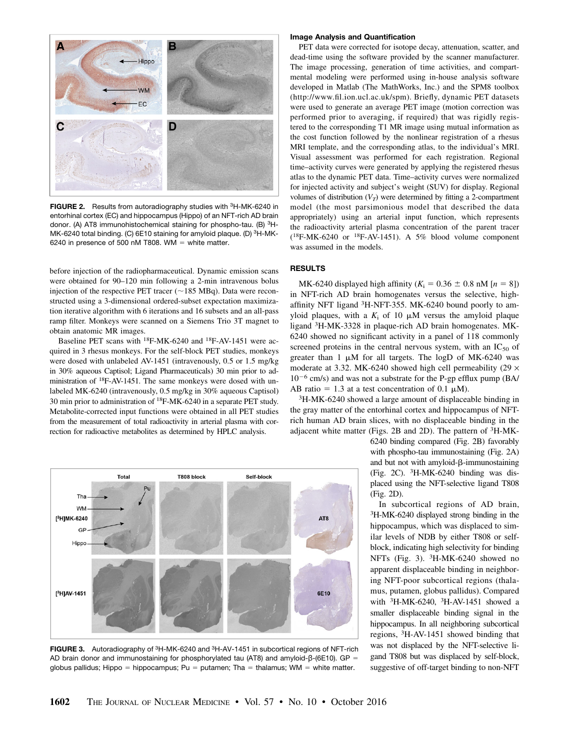

FIGURE 2. Results from autoradiography studies with 3H-MK-6240 in entorhinal cortex (EC) and hippocampus (Hippo) of an NFT-rich AD brain donor. (A) AT8 immunohistochemical staining for phospho-tau. (B) 3H-MK-6240 total binding. (C) 6E10 staining for amyloid plaque. (D) <sup>3</sup>H-MK-6240 in presence of 500 nM T808. WM = white matter.

before injection of the radiopharmaceutical. Dynamic emission scans were obtained for 90–120 min following a 2-min intravenous bolus injection of the respective PET tracer ( $\sim$ 185 MBq). Data were reconstructed using a 3-dimensional ordered-subset expectation maximization iterative algorithm with 6 iterations and 16 subsets and an all-pass ramp filter. Monkeys were scanned on a Siemens Trio 3T magnet to obtain anatomic MR images.

Baseline PET scans with 18F-MK-6240 and 18F-AV-1451 were acquired in 3 rhesus monkeys. For the self-block PET studies, monkeys were dosed with unlabeled AV-1451 (intravenously, 0.5 or 1.5 mg/kg in 30% aqueous Captisol; Ligand Pharmaceuticals) 30 min prior to administration of 18F-AV-1451. The same monkeys were dosed with unlabeled MK-6240 (intravenously, 0.5 mg/kg in 30% aqueous Captisol) 30 min prior to administration of 18F-MK-6240 in a separate PET study. Metabolite-corrected input functions were obtained in all PET studies from the measurement of total radioactivity in arterial plasma with correction for radioactive metabolites as determined by HPLC analysis.



FIGURE 3. Autoradiography of 3H-MK-6240 and 3H-AV-1451 in subcortical regions of NFT-rich AD brain donor and immunostaining for phosphorylated tau (AT8) and amyloid-β-(6E10). GP = globus pallidus; Hippo = hippocampus; Pu = putamen; Tha = thalamus; WM = white matter.

#### Image Analysis and Quantification

PET data were corrected for isotope decay, attenuation, scatter, and dead-time using the software provided by the scanner manufacturer. The image processing, generation of time activities, and compartmental modeling were performed using in-house analysis software developed in Matlab (The MathWorks, Inc.) and the SPM8 toolbox ([http://www.fil.ion.ucl.ac.uk/spm\)](http://www.fil.ion.ucl.ac.uk/spm). Briefly, dynamic PET datasets were used to generate an average PET image (motion correction was performed prior to averaging, if required) that was rigidly registered to the corresponding T1 MR image using mutual information as the cost function followed by the nonlinear registration of a rhesus MRI template, and the corresponding atlas, to the individual's MRI. Visual assessment was performed for each registration. Regional time–activity curves were generated by applying the registered rhesus atlas to the dynamic PET data. Time–activity curves were normalized for injected activity and subject's weight (SUV) for display. Regional volumes of distribution  $(V_T)$  were determined by fitting a 2-compartment model (the most parsimonious model that described the data appropriately) using an arterial input function, which represents the radioactivity arterial plasma concentration of the parent tracer  $(^{18}F-MK-6240$  or  $^{18}F-AV-1451$ ). A 5% blood volume component was assumed in the models.

# **RESULTS**

MK-6240 displayed high affinity ( $K_i = 0.36 \pm 0.8$  nM [ $n = 8$ ]) in NFT-rich AD brain homogenates versus the selective, highaffinity NFT ligand 3H-NFT-355. MK-6240 bound poorly to amyloid plaques, with a  $K_i$  of 10  $\mu$ M versus the amyloid plaque ligand 3H-MK-3328 in plaque-rich AD brain homogenates. MK-6240 showed no significant activity in a panel of 118 commonly screened proteins in the central nervous system, with an  $IC_{50}$  of greater than  $1 \mu M$  for all targets. The logD of MK-6240 was moderate at 3.32. MK-6240 showed high cell permeability (29  $\times$  $10^{-6}$  cm/s) and was not a substrate for the P-gp efflux pump (BA/ AB ratio = 1.3 at a test concentration of 0.1  $\mu$ M).

3H-MK-6240 showed a large amount of displaceable binding in the gray matter of the entorhinal cortex and hippocampus of NFTrich human AD brain slices, with no displaceable binding in the adjacent white matter (Figs. 2B and 2D). The pattern of <sup>3</sup>H-MK-

> 6240 binding compared (Fig. 2B) favorably with phospho-tau immunostaining (Fig. 2A) and but not with amyloid- $\beta$ -immunostaining (Fig. 2C).  ${}^{3}$ H-MK-6240 binding was displaced using the NFT-selective ligand T808 (Fig. 2D).

> In subcortical regions of AD brain, <sup>3</sup>H-MK-6240 displayed strong binding in the hippocampus, which was displaced to similar levels of NDB by either T808 or selfblock, indicating high selectivity for binding NFTs (Fig. 3). <sup>3</sup>H-MK-6240 showed no apparent displaceable binding in neighboring NFT-poor subcortical regions (thalamus, putamen, globus pallidus). Compared with  ${}^{3}$ H-MK-6240,  ${}^{3}$ H-AV-1451 showed a smaller displaceable binding signal in the hippocampus. In all neighboring subcortical regions, 3H-AV-1451 showed binding that was not displaced by the NFT-selective ligand T808 but was displaced by self-block, suggestive of off-target binding to non-NFT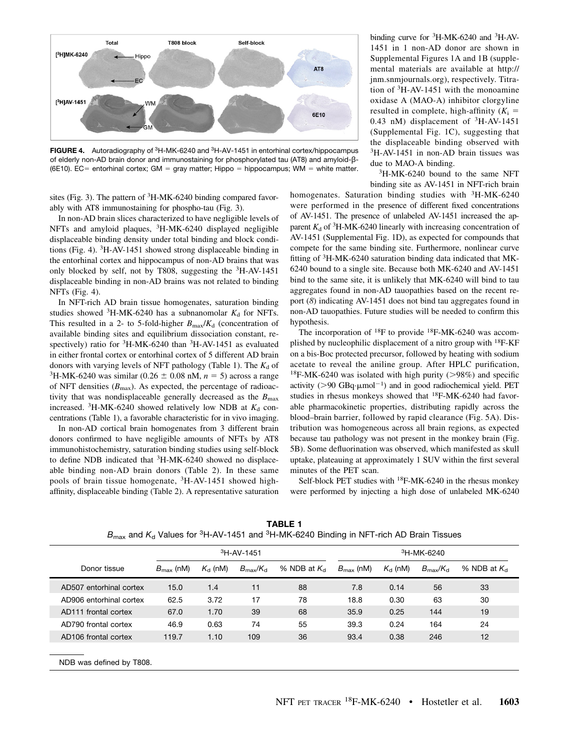

FIGURE 4. Autoradiography of 3H-MK-6240 and 3H-AV-1451 in entorhinal cortex/hippocampus of elderly non-AD brain donor and immunostaining for phosphorylated tau (AT8) and amyloid-β- (6E10). EC= entorhinal cortex; GM = gray matter; Hippo = hippocampus; WM = white matter.

sites (Fig. 3). The pattern of <sup>3</sup>H-MK-6240 binding compared favorably with AT8 immunostaining for phospho-tau (Fig. 3).

In non-AD brain slices characterized to have negligible levels of NFTs and amyloid plaques, 3H-MK-6240 displayed negligible displaceable binding density under total binding and block conditions (Fig. 4). 3H-AV-1451 showed strong displaceable binding in the entorhinal cortex and hippocampus of non-AD brains that was only blocked by self, not by T808, suggesting the 3H-AV-1451 displaceable binding in non-AD brains was not related to binding NFTs (Fig. 4).

In NFT-rich AD brain tissue homogenates, saturation binding studies showed  ${}^{3}$ H-MK-6240 has a subnanomolar  $K_d$  for NFTs. This resulted in a 2- to 5-fold-higher  $B_{\text{max}}/K_d$  (concentration of available binding sites and equilibrium dissociation constant, respectively) ratio for <sup>3</sup>H-MK-6240 than <sup>3</sup>H-AV-1451 as evaluated in either frontal cortex or entorhinal cortex of 5 different AD brain donors with varying levels of NFT pathology (Table 1). The  $K_d$  of <sup>3</sup>H-MK-6240 was similar (0.26  $\pm$  0.08 nM, *n* = 5) across a range of NFT densities  $(B_{\text{max}})$ . As expected, the percentage of radioactivity that was nondisplaceable generally decreased as the  $B_{\text{max}}$ increased.  ${}^{3}H-MK-6240$  showed relatively low NDB at  $K_{d}$  concentrations (Table 1), a favorable characteristic for in vivo imaging.

In non-AD cortical brain homogenates from 3 different brain donors confirmed to have negligible amounts of NFTs by AT8 immunohistochemistry, saturation binding studies using self-block to define NDB indicated that 3H-MK-6240 showed no displaceable binding non-AD brain donors (Table 2). In these same pools of brain tissue homogenate, 3H-AV-1451 showed highaffinity, displaceable binding (Table 2). A representative saturation

NDB was defined by T808.

binding curve for <sup>3</sup>H-MK-6240 and <sup>3</sup>H-AV-1451 in 1 non-AD donor are shown in Supplemental Figures 1A and 1B (supplemental materials are available at [http://](http://jnm.snmjournals.org) [jnm.snmjournals.org\)](http://jnm.snmjournals.org), respectively. Titration of 3H-AV-1451 with the monoamine oxidase A (MAO-A) inhibitor clorgyline resulted in complete, high-affinity  $(K_i =$ 0.43 nM) displacement of  ${}^{3}H$ -AV-1451 (Supplemental Fig. 1C), suggesting that the displaceable binding observed with 3H-AV-1451 in non-AD brain tissues was due to MAO-A binding.

3H-MK-6240 bound to the same NFT binding site as AV-1451 in NFT-rich brain

homogenates. Saturation binding studies with <sup>3</sup>H-MK-6240 were performed in the presence of different fixed concentrations of AV-1451. The presence of unlabeled AV-1451 increased the apparent  $K_d$  of <sup>3</sup>H-MK-6240 linearly with increasing concentration of AV-1451 (Supplemental Fig. 1D), as expected for compounds that compete for the same binding site. Furthermore, nonlinear curve fitting of <sup>3</sup>H-MK-6240 saturation binding data indicated that MK-6240 bound to a single site. Because both MK-6240 and AV-1451 bind to the same site, it is unlikely that MK-6240 will bind to tau aggregates found in non-AD tauopathies based on the recent report (8) indicating AV-1451 does not bind tau aggregates found in non-AD tauopathies. Future studies will be needed to confirm this hypothesis.

The incorporation of  $^{18}F$  to provide  $^{18}F$ -MK-6240 was accomplished by nucleophilic displacement of a nitro group with <sup>18</sup>F-KF on a bis-Boc protected precursor, followed by heating with sodium acetate to reveal the aniline group. After HPLC purification, <sup>18</sup>F-MK-6240 was isolated with high purity ( $>98\%$ ) and specific activity ( $>90$  GBq· $\mu$ mol<sup>-1</sup>) and in good radiochemical yield. PET studies in rhesus monkeys showed that <sup>18</sup>F-MK-6240 had favorable pharmacokinetic properties, distributing rapidly across the blood–brain barrier, followed by rapid clearance (Fig. 5A). Distribution was homogeneous across all brain regions, as expected because tau pathology was not present in the monkey brain (Fig. 5B). Some defluorination was observed, which manifested as skull uptake, plateauing at approximately 1 SUV within the first several minutes of the PET scan.

Self-block PET studies with 18F-MK-6240 in the rhesus monkey were performed by injecting a high dose of unlabeled MK-6240

|                                  | <sup>3</sup> H-AV-1451 |                  |                               |                      | <sup>3</sup> H-MK-6240 |                  |                               |                      |
|----------------------------------|------------------------|------------------|-------------------------------|----------------------|------------------------|------------------|-------------------------------|----------------------|
| Donor tissue                     | $B_{\text{max}}$ (nM)  | $K_{\rm d}$ (nM) | $B_{\text{max}}/K_{\text{d}}$ | % NDB at $K_{\rm d}$ | $B_{\text{max}}$ (nM)  | $K_{\rm d}$ (nM) | $B_{\text{max}}/K_{\text{d}}$ | % NDB at $K_{\rm d}$ |
| AD507 entorhinal cortex          | 15.0                   | 1.4              | 11                            | 88                   | 7.8                    | 0.14             | 56                            | 33                   |
| AD906 entorhinal cortex          | 62.5                   | 3.72             | 17                            | 78                   | 18.8                   | 0.30             | 63                            | 30                   |
| AD <sub>111</sub> frontal cortex | 67.0                   | 1.70             | 39                            | 68                   | 35.9                   | 0.25             | 144                           | 19                   |
| AD790 frontal cortex             | 46.9                   | 0.63             | 74                            | 55                   | 39.3                   | 0.24             | 164                           | 24                   |
| AD <sub>106</sub> frontal cortex | 119.7                  | 1.10             | 109                           | 36                   | 93.4                   | 0.38             | 246                           | 12                   |
|                                  |                        |                  |                               |                      |                        |                  |                               |                      |

TABLE 1  $B_{\text{max}}$  and  $K_d$  Values for <sup>3</sup>H-AV-1451 and <sup>3</sup>H-MK-6240 Binding in NFT-rich AD Brain Tissues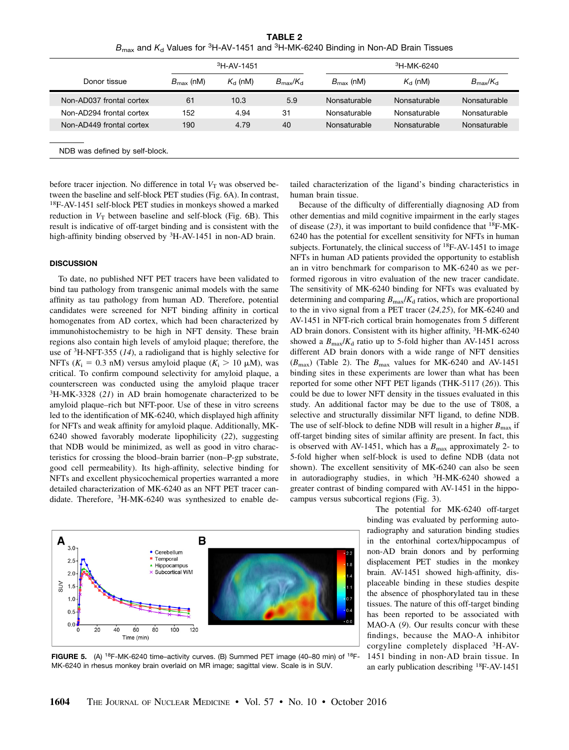TABLE 2  $B_{\text{max}}$  and  $K_d$  Values for <sup>3</sup>H-AV-1451 and <sup>3</sup>H-MK-6240 Binding in Non-AD Brain Tissues

|                          |                       | <sup>3</sup> H-AV-1451 |                               | <sup>3</sup> H-MK-6240 |                  |                               |  |
|--------------------------|-----------------------|------------------------|-------------------------------|------------------------|------------------|-------------------------------|--|
| Donor tissue             | $B_{\text{max}}$ (nM) | $K_{\rm cl}$ (nM)      | $B_{\text{max}}/K_{\text{d}}$ | $B_{\text{max}}$ (nM)  | $K_{\rm d}$ (nM) | $B_{\text{max}}/K_{\text{d}}$ |  |
| Non-AD037 frontal cortex | 61                    | 10.3                   | 5.9                           | Nonsaturable           | Nonsaturable     | Nonsaturable                  |  |
| Non-AD294 frontal cortex | 152                   | 4.94                   | 31                            | Nonsaturable           | Nonsaturable     | Nonsaturable                  |  |
| Non-AD449 frontal cortex | 190                   | 4.79                   | 40                            | Nonsaturable           | Nonsaturable     | Nonsaturable                  |  |

before tracer injection. No difference in total  $V_T$  was observed between the baseline and self-block PET studies (Fig. 6A). In contrast, 18F-AV-1451 self-block PET studies in monkeys showed a marked reduction in  $V_T$  between baseline and self-block (Fig. 6B). This result is indicative of off-target binding and is consistent with the high-affinity binding observed by <sup>3</sup>H-AV-1451 in non-AD brain.

#### **DISCUSSION**

To date, no published NFT PET tracers have been validated to bind tau pathology from transgenic animal models with the same affinity as tau pathology from human AD. Therefore, potential candidates were screened for NFT binding affinity in cortical homogenates from AD cortex, which had been characterized by immunohistochemistry to be high in NFT density. These brain regions also contain high levels of amyloid plaque; therefore, the use of 3H-NFT-355 (14), a radioligand that is highly selective for NFTs ( $K_i = 0.3$  nM) versus amyloid plaque ( $K_i > 10 \mu$ M), was critical. To confirm compound selectivity for amyloid plaque, a counterscreen was conducted using the amyloid plaque tracer  $3H-MK-3328$  (21) in AD brain homogenate characterized to be amyloid plaque–rich but NFT-poor. Use of these in vitro screens led to the identification of MK-6240, which displayed high affinity for NFTs and weak affinity for amyloid plaque. Additionally, MK-6240 showed favorably moderate lipophilicity (22), suggesting that NDB would be minimized, as well as good in vitro characteristics for crossing the blood–brain barrier (non–P-gp substrate, good cell permeability). Its high-affinity, selective binding for NFTs and excellent physicochemical properties warranted a more detailed characterization of MK-6240 as an NFT PET tracer candidate. Therefore, 3H-MK-6240 was synthesized to enable de-

B A  $3($ Cerebellum Temporal  $2.5$ Hippocampus Subcortical WM  $2.0$ SUV  $1.5$  $1.0$  $0.5$  $0.<sub>C</sub>$  $20$ 60  $\dot{80}$  $100$  $120$ 40 Time (min)

FIGURE 5. (A) 18F-MK-6240 time–activity curves. (B) Summed PET image (40–80 min) of 18F-MK-6240 in rhesus monkey brain overlaid on MR image; sagittal view. Scale is in SUV.

tailed characterization of the ligand's binding characteristics in human brain tissue.

Because of the difficulty of differentially diagnosing AD from other dementias and mild cognitive impairment in the early stages of disease  $(23)$ , it was important to build confidence that <sup>18</sup>F-MK-6240 has the potential for excellent sensitivity for NFTs in human subjects. Fortunately, the clinical success of  $^{18}$ F-AV-1451 to image NFTs in human AD patients provided the opportunity to establish an in vitro benchmark for comparison to MK-6240 as we performed rigorous in vitro evaluation of the new tracer candidate. The sensitivity of MK-6240 binding for NFTs was evaluated by determining and comparing  $B_{\text{max}}/K_d$  ratios, which are proportional to the in vivo signal from a PET tracer (24,25), for MK-6240 and AV-1451 in NFT-rich cortical brain homogenates from 5 different AD brain donors. Consistent with its higher affinity, <sup>3</sup>H-MK-6240 showed a  $B_{\text{max}}/K_d$  ratio up to 5-fold higher than AV-1451 across different AD brain donors with a wide range of NFT densities  $(B_{\text{max}})$  (Table 2). The  $B_{\text{max}}$  values for MK-6240 and AV-1451 binding sites in these experiments are lower than what has been reported for some other NFT PET ligands (THK-5117 (26)). This could be due to lower NFT density in the tissues evaluated in this study. An additional factor may be due to the use of T808, a selective and structurally dissimilar NFT ligand, to define NDB. The use of self-block to define NDB will result in a higher  $B_{\text{max}}$  if off-target binding sites of similar affinity are present. In fact, this is observed with AV-1451, which has a  $B_{\text{max}}$  approximately 2- to 5-fold higher when self-block is used to define NDB (data not shown). The excellent sensitivity of MK-6240 can also be seen in autoradiography studies, in which  ${}^{3}H-MK-6240$  showed a greater contrast of binding compared with AV-1451 in the hippocampus versus subcortical regions (Fig. 3).

> The potential for MK-6240 off-target binding was evaluated by performing autoradiography and saturation binding studies in the entorhinal cortex/hippocampus of non-AD brain donors and by performing displacement PET studies in the monkey brain. AV-1451 showed high-affinity, displaceable binding in these studies despite the absence of phosphorylated tau in these tissues. The nature of this off-target binding has been reported to be associated with MAO-A (9). Our results concur with these findings, because the MAO-A inhibitor corgyline completely displaced 3H-AV-1451 binding in non-AD brain tissue. In an early publication describing 18F-AV-1451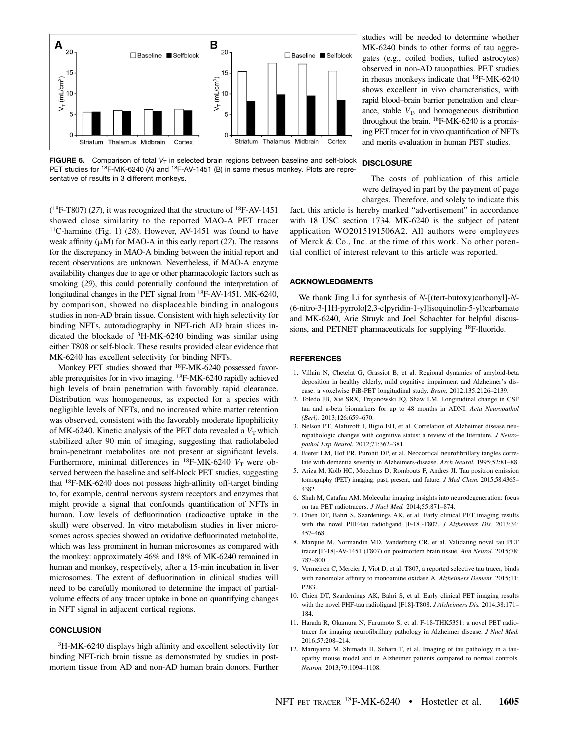

**FIGURE 6.** Comparison of total  $V<sub>T</sub>$  in selected brain regions between baseline and self-block PET studies for <sup>18</sup>F-MK-6240 (A) and <sup>18</sup>F-AV-1451 (B) in same rhesus monkey. Plots are representative of results in 3 different monkeys.

studies will be needed to determine whether MK-6240 binds to other forms of tau aggregates (e.g., coiled bodies, tufted astrocytes) observed in non-AD tauopathies. PET studies in rhesus monkeys indicate that 18F-MK-6240 shows excellent in vivo characteristics, with rapid blood–brain barrier penetration and clearance, stable  $V_T$ , and homogeneous distribution throughout the brain. 18F-MK-6240 is a promising PET tracer for in vivo quantification of NFTs and merits evaluation in human PET studies.

#### **DISCLOSURE**

The costs of publication of this article were defrayed in part by the payment of page charges. Therefore, and solely to indicate this

 $(^{18}F-T807)$  (27), it was recognized that the structure of  $^{18}F-AV-1451$ showed close similarity to the reported MAO-A PET tracer  $11C$ -harmine (Fig. 1) (28). However, AV-1451 was found to have weak affinity  $(\mu M)$  for MAO-A in this early report (27). The reasons for the discrepancy in MAO-A binding between the initial report and recent observations are unknown. Nevertheless, if MAO-A enzyme availability changes due to age or other pharmacologic factors such as smoking (29), this could potentially confound the interpretation of longitudinal changes in the PET signal from <sup>18</sup>F-AV-1451. MK-6240, by comparison, showed no displaceable binding in analogous studies in non-AD brain tissue. Consistent with high selectivity for binding NFTs, autoradiography in NFT-rich AD brain slices indicated the blockade of 3H-MK-6240 binding was similar using either T808 or self-block. These results provided clear evidence that MK-6240 has excellent selectivity for binding NFTs.

Monkey PET studies showed that <sup>18</sup>F-MK-6240 possessed favorable prerequisites for in vivo imaging. 18F-MK-6240 rapidly achieved high levels of brain penetration with favorably rapid clearance. Distribution was homogeneous, as expected for a species with negligible levels of NFTs, and no increased white matter retention was observed, consistent with the favorably moderate lipophilicity of MK-6240. Kinetic analysis of the PET data revealed a  $V<sub>T</sub>$  which stabilized after 90 min of imaging, suggesting that radiolabeled brain-penetrant metabolites are not present at significant levels. Furthermore, minimal differences in  $^{18}$ F-MK-6240  $V_T$  were observed between the baseline and self-block PET studies, suggesting that 18F-MK-6240 does not possess high-affinity off-target binding to, for example, central nervous system receptors and enzymes that might provide a signal that confounds quantification of NFTs in human. Low levels of defluorination (radioactive uptake in the skull) were observed. In vitro metabolism studies in liver microsomes across species showed an oxidative defluorinated metabolite, which was less prominent in human microsomes as compared with the monkey: approximately 46% and 18% of MK-6240 remained in human and monkey, respectively, after a 15-min incubation in liver microsomes. The extent of defluorination in clinical studies will need to be carefully monitored to determine the impact of partialvolume effects of any tracer uptake in bone on quantifying changes in NFT signal in adjacent cortical regions.

# **CONCLUSION**

3H-MK-6240 displays high affinity and excellent selectivity for binding NFT-rich brain tissue as demonstrated by studies in postmortem tissue from AD and non-AD human brain donors. Further

fact, this article is hereby marked "advertisement" in accordance with 18 USC section 1734. MK-6240 is the subject of patent application WO2015191506A2. All authors were employees of Merck & Co., Inc. at the time of this work. No other potential conflict of interest relevant to this article was reported.

#### ACKNOWLEDGMENTS

We thank Jing Li for synthesis of N-[(tert-butoxy)carbonyl]-N-(6-nitro-3-[1H-pyrrolo[2,3-c]pyridin-1-yl]isoquinolin-5-yl)carbamate and MK-6240, Arie Struyk and Joel Schachter for helpful discussions, and PETNET pharmaceuticals for supplying <sup>18</sup>F-fluoride.

#### REFERENCES

- 1. Villain N, Chetelat G, Grassiot B, et al. Regional dynamics of amyloid-beta deposition in healthy elderly, mild cognitive impairment and Alzheimer's disease: a voxelwise PiB-PET longitudinal study. Brain. 2012;135:2126–2139.
- 2. Toledo JB, Xie SRX, Trojanowski JQ, Shaw LM. Longitudinal change in CSF tau and a-beta biomarkers for up to 48 months in ADNI. Acta Neuropathol (Berl). 2013;126:659–670.
- 3. Nelson PT, Alafuzoff I, Bigio EH, et al. Correlation of Alzheimer disease neuropathologic changes with cognitive status: a review of the literature. J Neuropathol Exp Neurol. 2012;71:362–381.
- 4. Bierer LM, Hof PR, Purohit DP, et al. Neocortical neurofibrillary tangles correlate with dementia severity in Alzheimers-disease. Arch Neurol. 1995;52:81–88.
- 5. Ariza M, Kolb HC, Moechars D, Rombouts F, Andres JI. Tau positron emission tomography (PET) imaging: past, present, and future. J Med Chem. 2015;58:4365-4382.
- 6. Shah M, Catafau AM. Molecular imaging insights into neurodegeneration: focus on tau PET radiotracers. J Nucl Med. 2014;55:871–874.
- 7. Chien DT, Bahri S, Szardenings AK, et al. Early clinical PET imaging results with the novel PHF-tau radioligand [F-18]-T807. J Alzheimers Dis. 2013;34: 457–468.
- 8. Marquie M, Normandin MD, Vanderburg CR, et al. Validating novel tau PET tracer [F-18]-AV-1451 (T807) on postmortem brain tissue. Ann Neurol. 2015;78: 787–800.
- 9. Vermeiren C, Mercier J, Viot D, et al. T807, a reported selective tau tracer, binds with nanomolar affinity to monoamine oxidase A. Alzheimers Dement. 2015;11: P283.
- 10. Chien DT, Szardenings AK, Bahri S, et al. Early clinical PET imaging results with the novel PHF-tau radioligand [F18]-T808. J Alzheimers Dis. 2014;38:171– 184.
- 11. Harada R, Okamura N, Furumoto S, et al. F-18-THK5351: a novel PET radiotracer for imaging neurofibrillary pathology in Alzheimer disease. J Nucl Med. 2016;57:208–214.
- 12. Maruyama M, Shimada H, Suhara T, et al. Imaging of tau pathology in a tauopathy mouse model and in Alzheimer patients compared to normal controls. Neuron. 2013;79:1094–1108.